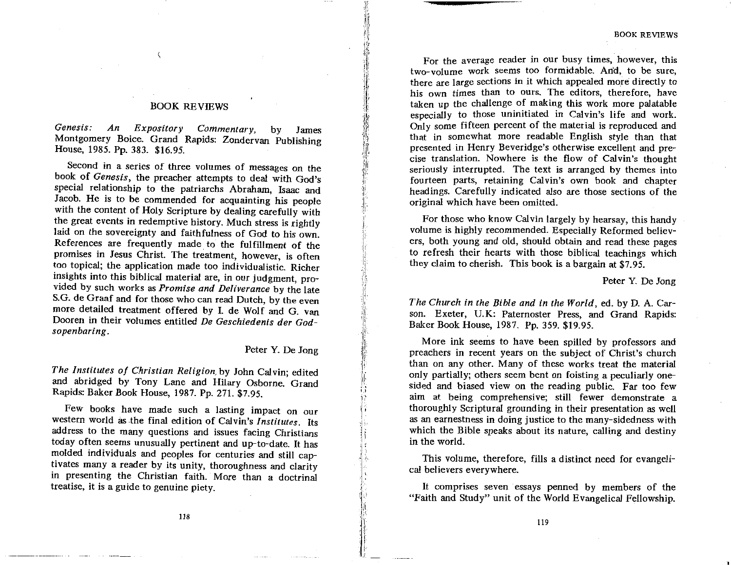## **BOOK REVIEWS**

 $\overline{\mathbf{C}}$ 

Genesis:  $Expository$  Commentary,  $An$ by James Montgomery Boice. Grand Rapids: Zondervan Publishing House, 1985. Pp. 383. \$16.95.

Second in a series of three volumes of messages on the book of Genesis, the preacher attempts to deal with God's special relationship to the patriarchs Abraham. Isaac and Jacob. He is to be commended for acquainting his people with the content of Holy Scripture by dealing carefully with the great events in redemptive history. Much stress is rightly laid on the sovereignty and faithfulness of God to his own. References are frequently made to the fulfillment of the promises in Jesus Christ. The treatment, however, is often too topical: the application made too individualistic. Richer insights into this biblical material are, in our judgment, provided by such works as Promise and Deliverance by the late S.G. de Graaf and for those who can read Dutch, by the even more detailed treatment offered by I. de Wolf and G. van Dooren in their volumes entitled De Geschiedenis der Godsopenbaring.

Peter Y. De Jong

The Institutes of Christian Religion by John Calvin; edited and abridged by Tony Lane and Hilary Osborne. Grand Rapids: Baker Book House, 1987. Pp. 271. \$7.95.

Few books have made such a lasting impact on our western world as the final edition of Calvin's Institutes. Its address to the many questions and issues facing Christians today often seems unusually pertinent and up-to-date. It has molded individuals and peoples for centuries and still captivates many a reader by its unity, thoroughness and clarity in presenting the Christian faith. More than a doctrinal treatise, it is a guide to genuine piety.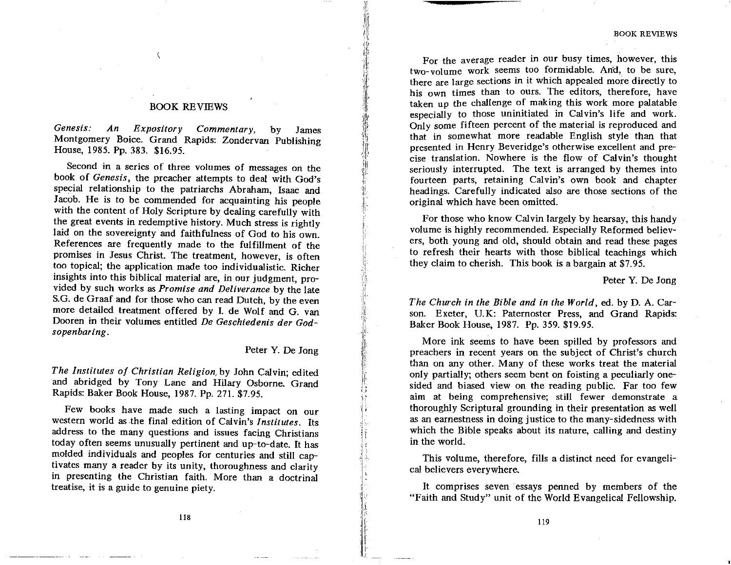**BOOK REVIEWS** 

For the average reader in our busy times, however, this two-volume work seems too formidable. And, to be sure. there are large sections in it which appealed more directly to his own times than to ours. The editors, therefore, have taken up the challenge of making this work more palatable especially to those uninitiated in Calvin's life and work. Only some fifteen percent of the material is reproduced and that in somewhat more readable English style than that presented in Henry Beveridge's otherwise excellent and precise translation. Nowhere is the flow of Calvin's thought seriously interrupted. The text is arranged by themes into fourteen parts, retaining Calvin's own book and chapter headings. Carefully indicated also are those sections of the original which have been omitted.

For those who know Calvin largely by hearsay, this handy volume is highly recommended. Especially Reformed believers. both young and old, should obtain and read these pages to refresh their hearts with those biblical teachings which they claim to cherish. This book is a bargain at \$7.95.

Peter Y. De Jong

The Church in the Bible and in the World, ed. by D. A. Carson. Exeter, U.K: Paternoster Press, and Grand Rapids: Baker Book House, 1987. Pp. 359. \$19.95.

More ink seems to have been spilled by professors and preachers in recent years on the subject of Christ's church than on any other. Many of these works treat the material only partially; others seem bent on foisting a peculiarly onesided and biased view on the reading public. Far too few aim at being comprehensive; still fewer demonstrate a thoroughly Scriptural grounding in their presentation as well as an earnestness in doing justice to the many-sidedness with which the Bible speaks about its nature, calling and destiny in the world.

This volume, therefore, fills a distinct need for evangelical believers everywhere.

It comprises seven essays penned by members of the "Faith and Study" unit of the World Evangelical Fellowship.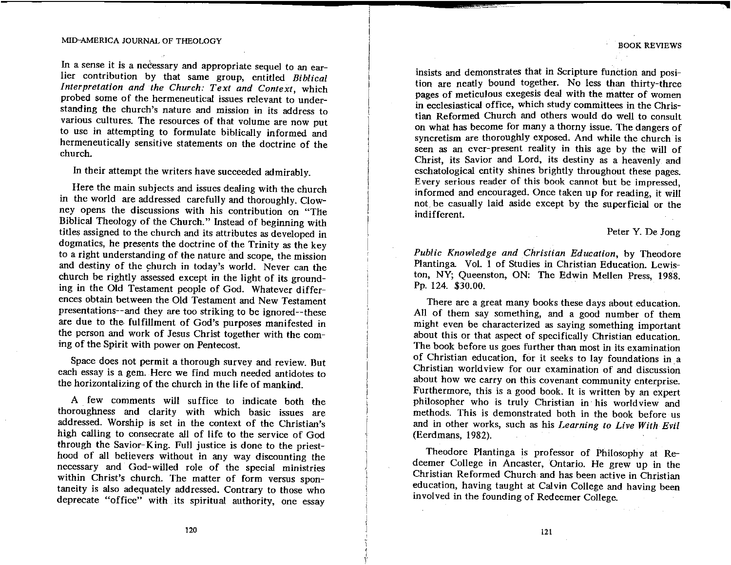In a sense it is a necessary and appropriate sequel to an earlier contribution by that same group, entitled Biblical Interpretation and the Church: Text and Context, which probed some of the hermeneutical issues relevant to understanding the church's nature and mission in its address to various cultures. The resources of that volume are now put to use in attempting to formulate biblically informed and hermeneutically sensitive statements on the doctrine of the church.

In their attempt the writers have succeeded admirably.

Here the main subjects and issues dealing with the church in the world are addressed carefully and thoroughly. Clowney opens the discussions with his contribution on "The Biblical Theology of the Church." Instead of beginning with titles assigned to the church and its attributes as developed in dogmatics, he presents the doctrine of the Trinity as the key to a right understanding of the nature and scope, the mission and destiny of the church in today's world. Never can the church be rightly assessed except in the light of its grounding in the Old Testament people of God. Whatever differences obtain between the Old Testament and New Testament presentations--and they are too striking to be ignored--these are due to the fulfillment of God's purposes manifested in the person and work of Jesus Christ together with the coming of the Spirit with power on Pentecost.

Space does not permit a thorough survey and review. But each essay is a gem. Here we find much needed antidotes to the horizontalizing of the church in the life of mankind.

A few comments will suffice to indicate both the thoroughness and clarity with which basic issues are addressed. Worship is set in the context of the Christian's high calling to consecrate all of life to the service of God through the Savior-King. Full justice is done to the priesthood of all believers without in any way discounting the necessary and God-willed role of the special ministries within Christ's church. The matter of form versus spontaneity is also adequately addressed. Contrary to those who deprecate "office" with its spiritual authority, one essay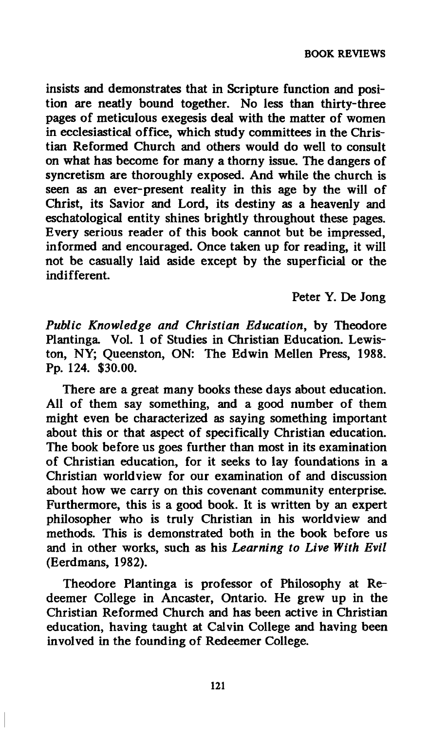**insists and demonstrates that in Scripture function and position are neatly bound together. No less than thirty-three pages of meticulous exegesis deal with the matter of women in ecclesiastical office, which study committees in the Christian Reformed Church and others would do well to consult on what has become for many a thorny issue. The dangers of syncretism are thoroughly exposed. And while the church is seen as an ever-present reality in this age by the will of Christ, its Savior and Lord, its destiny as a heavenly and eschatological entity shines brightly throughout these pages. Every serious reader of this book cannot but be impressed, informed and encouraged. Once taken up for reading, it will not be casually laid aside except by the superficial or the indifferent.** 

**Peter Y. De Jong** 

*Public Knowledge and Christian Education,* **by Theodore Plantinga. Vol. 1 of Studies in Christian Education. Lewiston, NY; Queenston, ON: The Edwin Mellen Press, 1988. Pp. 124. \$30.00.** 

**There are a great many books these days about education. All of them say something, and a good number of them might even be characterized as saying something important about this or that aspect of specifically Christian education. The book before us goes further than most in its examination of Christian education, for it seeks to lay foundations in a Christian worldview for our examination of and discussion about how we carry on this covenant community enterprise. Furthermore, this is a good book. It is written by an expert philosopher who is truly Christian in his worldview and methods. This is demonstrated both in the book before us and in other works, such as his** *Learning to Live With Evil*  **(Eerdmans, 1982).** 

**Theodore Plantinga is professor of Philosophy at Redeemer College in Ancaster, Ontario. He grew up in the Christian Reformed Church and has been active in Christian education, having taught at Calvin College and having been involved in the founding of Redeemer College.**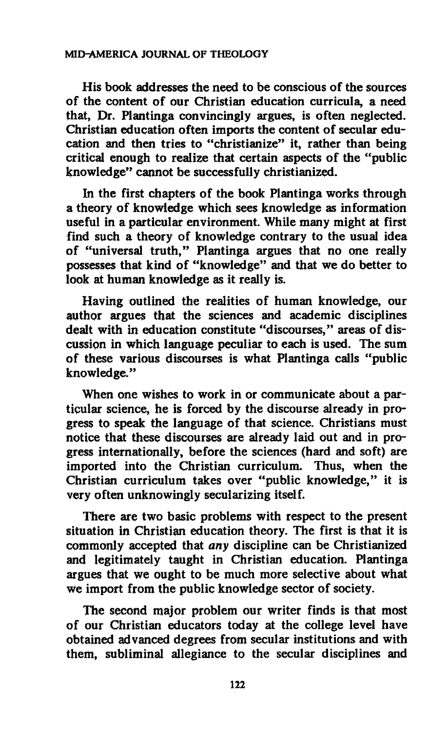**His book addresses the need to be conscious of the sources of the content of our Christian education curricula, a need that, Dr. Plantinga convincingly argues, is often neglected. Christian education often imports the content of secular education and then tries to "christianize" it, rather than being critical enough to realize that certain aspects of the "public knowledge" cannot be successfully christianized.** 

**In the first chapters of the book Plantinga works through**  a theory of knowledge which sees knowledge as information **useful in a particular environment. While many might at first find such a theory of knowledge contrary to the usual idea of "universal truth," Plantinga argues that no one really possesses that kind of "knowledge" and that we do better to look at human knowledge as it really is.** 

**Having outlined the realities of human knowledge, our author argues that the sciences and academic disciplines dealt with in education constitute "discourses," areas of discussipn in which language peculiar to each is used. The sum of these various discourses is what Plantinga calls "public knowledge."** 

**When one wishes to work in or communicate about a particular science, he is forced by the discourse already in progress to speak the language of that science. Christians must notice that these discourses are already laid out and in progress internationally, before the sciences (hard and soft) are imported into the Christian curriculum. Thus, when the Christian curriculum t^kes over "public knowledge," it is very often unknowingly secularizing itself.** 

**There are two basic problems with respect to the present situation in Christian education theory. The first is that it is commonly accepted that** *any* **discipline can be Christianized and legitimately taught in Christian education. Plantinga argues that we ought to be much more selective about what we import from the public knowledge sector of society.** 

**The second major problem our writer finds is that most of our Christian educators today at the college level have obtained advanced degrees from secular institutions and with them, subliminal allegiance to the secular disciplines and**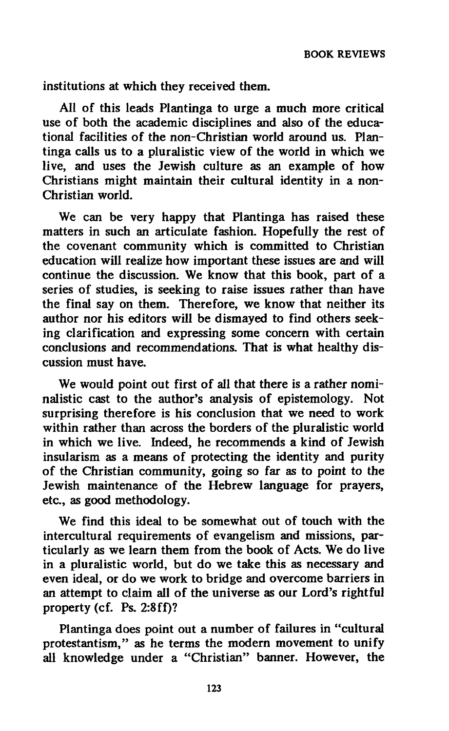**institutions at which they received them.** 

**All of this leads Plantinga to urge a much more critical use of both the academic disciplines and also of the educational facilities of the non-Christian world around us. Plantinga calls us to a pluralistic view of the world in which we live, and uses the Jewish culture as an example of how Christians might maintain their cultural identity in a non-Christian world.** 

**We can be very happy that Plantinga has raised these matters in such an articulate fashion. Hopefully the rest of the covenant community which is committed to Christian education will realize how important these issues are and will continue the discussion. We know that this book, part of a series of studies, is seeking to raise issues rather than have the final say on them. Therefore, we know that neither its author nor his editors will be dismayed to find others seeking clarification and expressing some concern with certain conclusions and recommendations. That is what healthy discussion must have.** 

**We would point out first of all that there is a rather nominalistic cast to the author's analysis of epistemology. Not surprising therefore is his conclusion that we need to work within rather than across the borders of the pluralistic world in which we live. Indeed, he recommends a kind of Jewish insularism as a means of protecting the identity and purity of the Christian community, going so far as to point to the Jewish maintenance of the Hebrew language for prayers, etc., as good methodology.** 

**We find this ideal to be somewhat out of touch with the intercultural requirements of evangelism and missions, particularly as we learn them from the book of Acts. We do live in a pluralistic world, but do we take this as necessary and even ideal, or do we work to bridge and overcome barriers in an attempt to claim all of the universe as our Lord's rightful property (cf. Ps. 2:8ff)?** 

**Plantinga does point out a number of failures in "cultural protestantism," as he terms the modern movement to unify all knowledge under a "Christian" banner. However, the**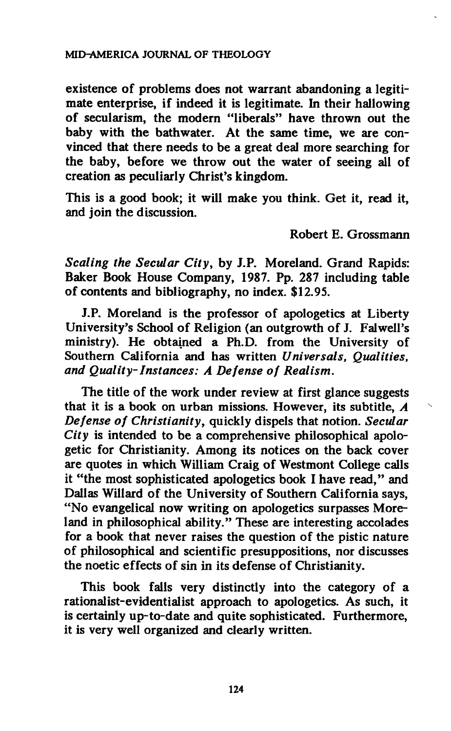**existence of problems does not warrant abandoning a legitimate enterprise, if indeed it is legitimate. In their hallowing of secularism, the modern "liberals" have thrown out the baby with the bathwater. At the same time, we are convinced that there needs to be a great deal more searching for the baby, before we throw out the water of seeing all of creation as peculiarly Christ's kingdom.** 

**This is a good book; it will make you think. Get it, read it, and join the discussion.** 

**Robert E. Grossmann** 

*Scaling the Secular City,* **by J.P. Moreland. Grand Rapids: Baker Book House Company, 1987. Pp. 287 including table of contents and bibliography, no index. \$12.95.** 

**J.P. Moreland is the professor of apologetics at Liberty**  University's School of Religion (an outgrowth of J. Falwell's **ministry). He obtained a Ph.D. from the University of Southern California and has written** *Universals, Qualities, and Quality-Instances: A Defense of Realism.* 

**The title of the work under review at first glance suggests that it is a book on urban missions. However, its subtitle,** *A Defense of Christianity,* **quickly dispels that notion.** *Secular City* **is intended to be a comprehensive philosophical apologetic for Christianity. Among its notices on the back cover are quotes in which William Craig of Westmont College calls it "the most sophisticated apologetics book I have read," and Dallas Willard of the University of Southern California says, "No evangelical now writing on apologetics surpasses Moreland in philosophical ability." These are interesting accolades for a book that never raises the question of the pistic nature of philosophical and scientific presuppositions, nor discusses the noetic effects of sin in its defense of Christianity.** 

**This book falls very distinctly into the category of a rationalist-evidentialist approach to apologetics. As such, it is certainly up-to-date and quite sophisticated. Furthermore, it is very well organized and clearly written.**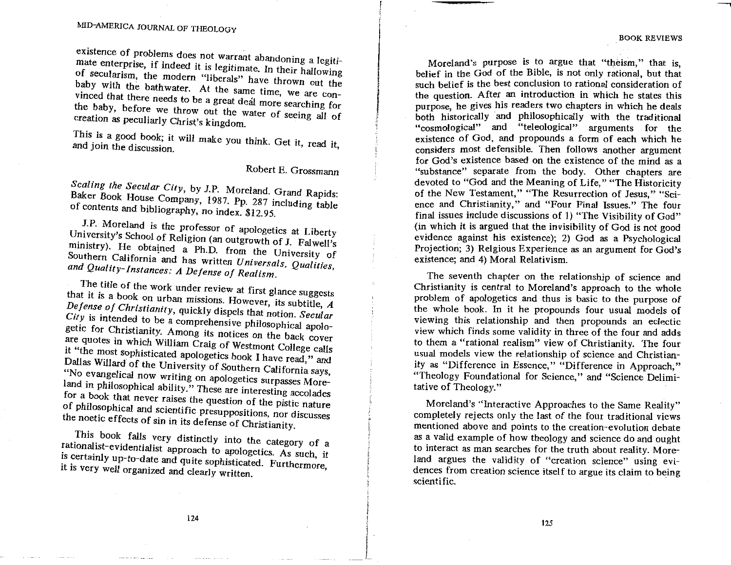Moreland's purpose is to argue that "theism," that is. belief in the God of the Bible, is not only rational, but that such belief is the best conclusion to rational consideration of the question. After an introduction in which he states this purpose, he gives his readers two chapters in which he deals hoth historically and philosophically with the traditional "cosmological" and "teleological" arguments for the. existence of God, and propounds a form of each which he considers most defensible. Then follows another argument for God's existence based on the existence of the mind as a "substance" separate from the body. Other chapters are devoted to "God and the Meaning of Life," "The Historicity of the New Testament," "The Resurrection of Jesus," "Sci-<br>ence and Christianity," and "Four Final Issues." The four final issues include discussions of 1) "The Visibility of God" (in which it is argued that the invisibility of God is not good evidence against his existence); 2) God as a Psychological Proiection: 3) Relgious Experience as an argument for God's existence: and 4) Moral Relativism.

The seventh chapter on the relationship of science and Christianity is central to Moreland's approach to the whole problem of apologetics and thus is basic to the purpose of the whole book. In it he propounds four usual models of viewing this relationship and then propounds an eclectic view which finds some validity in three of the four and adds to them a "rational realism" view of Christianity. The four usual models view the relationship of science and Christianity as "Difference in Essence," "Difference in Approach," "Theology Foundational for Science." and "Science Delimitative of Theology."

Moreland's "Interactive Approaches to the Same Reality" completely rejects only the last of the four traditional views mentioned above and points to the creation-evolution debate as a valid example of how theology and science do and ought to interact as man searches for the truth about reality. Moreland argues the validity of "creation science" using evidences from creation science itself to argue its claim to being scientific.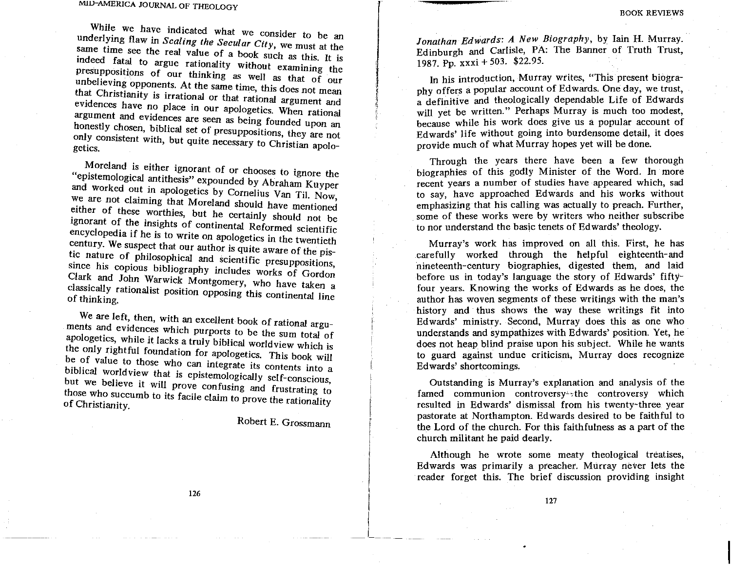While we have indicated what we consider to be an underlying flaw in Scaling the Secular City, we must at the same time see the real value of a book such as this. It is indeed fatal to argue rationality without examining the presuppositions of our thinking as well as that of our unbelieving opponents. At the same time, this does not mean that Christianity is irrational or that rational argument and evidences have no place in our apologetics. When rational argument and evidences are seen as being founded upon an honestly chosen, biblical set of presuppositions, they are not only consistent with, but quite necessary to Christian apologetics.

Moreland is either ignorant of or chooses to ignore the "epistemological antithesis" expounded by Abraham Kuyper and worked out in apologetics by Cornelius Van Til. Now, we are not claiming that Moreland should have mentioned either of these worthies, but he certainly should not be ignorant of the insights of continental Reformed scientific encyclopedia if he is to write on apologetics in the twentieth century. We suspect that our author is quite aware of the pistic nature of philosophical and scientific presuppositions, since his copious bibliography includes works of Gordon Clark and John Warwick Montgomery, who have taken a classically rationalist position opposing this continental line of thinking.

We are left, then, with an excellent book of rational arguments and evidences which purports to be the sum total of apologetics, while it lacks a truly biblical worldview which is the only rightful foundation for apologetics. This book will be of value to those who can integrate its contents into a biblical worldview that is epistemologically self-conscious, but we believe it will prove confusing and frustrating to those who succumb to its facile claim to prove the rationality of Christianity.

Robert E. Grossmann

126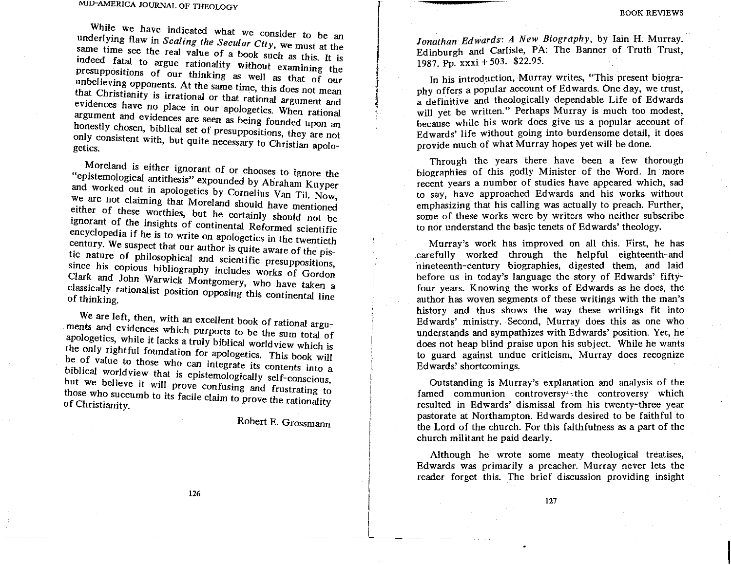Jonathan Edwards: A New Biography, by Iain H. Murray. Edinburgh and Carlisle, PA: The Banner of Truth Trust. 1987. Pp. xxxi + 503. \$22.95.

In his introduction, Murray writes, "This present biography offers a popular account of Edwards. One day, we trust. a definitive and theologically dependable Life of Edwards will yet be written." Perhaps Murray is much too modest, because while his work does give us a popular account of Edwards' life without going into burdensome detail, it does provide much of what Murray hopes yet will be done.

Through the years there have been a few thorough biographies of this godly Minister of the Word. In more recent years a number of studies have appeared which, sad to say, have approached Edwards and his works without emphasizing that his calling was actually to preach. Further, some of these works were by writers who neither subscribe to nor understand the basic tenets of Edwards' theology.

Murray's work has improved on all this. First, he has carefully worked through the helpful eighteenth-and nineteenth-century biographies, digested them, and laid before us in today's language the story of Edwards' fiftyfour years. Knowing the works of Edwards as he does, the author has woven segments of these writings with the man's history and thus shows the way these writings fit into Edwards' ministry, Second, Murray does this as one who understands and sympathizes with Edwards' position. Yet, he does not heap blind praise upon his subject. While he wants to guard against undue criticism. Murray does recognize Edwards' shortcomings.

Outstanding is Murray's explanation and analysis of the famed communion controversy<sup>1</sup>; the controversy which resulted in Edwards' dismissal from his twenty-three year pastorate at Northampton. Edwards desired to be faithful to the Lord of the church. For this faithfulness as a part of the church militant he paid dearly.

Although he wrote some meaty theological treatises, Edwards was primarily a preacher. Murray never lets the reader forget this. The brief discussion providing insight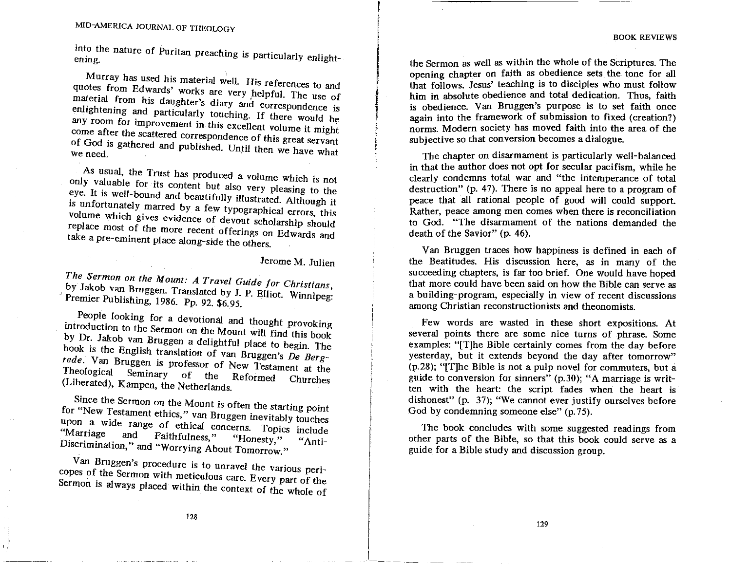into the nature of Puritan preaching is particularly enlightening.

Murray has used his material well. His references to and quotes from Edwards' works are very helpful. The use of material from his daughter's diary and correspondence is enlightening and particularly touching. If there would be any room for improvement in this excellent volume it might come after the scattered correspondence of this great servant of God is gathered and published. Until then we have what

As usual, the Trust has produced a volume which is not only valuable for its content but also very pleasing to the eye. It is well-bound and beautifully illustrated. Although it is unfortunately marred by a few typographical errors, this volume which gives evidence of devout scholarship should replace most of the more recent offerings on Edwards and take a pre-eminent place along-side the others.

Jerome M. Julien

The Sermon on the Mount: A Travel Guide for Christians, by Jakob van Bruggen. Translated by J. P. Elliot. Winnipeg: Premier Publishing, 1986. Pp. 92. \$6.95.

People looking for a devotional and thought provoking introduction to the Sermon on the Mount will find this book by Dr. Jakob van Bruggen a delightful place to begin. The book is the English translation of van Bruggen's De Bergrede. Van Bruggen is professor of New Testament at the Theological Seminary  $of$ the Reformed Churches (Liberated), Kampen, the Netherlands.

Since the Sermon on the Mount is often the starting point for "New Testament ethics," van Bruggen inevitably touches upon a wide range of ethical concerns. Topics include "Marriage and Faithfulness," "Honesty," Discrimination," and "Worrying About Tomorrow." "Anti-

Van Bruggen's procedure is to unravel the various pericopes of the Sermon with meticulous care. Every part of the Sermon is always placed within the context of the whole of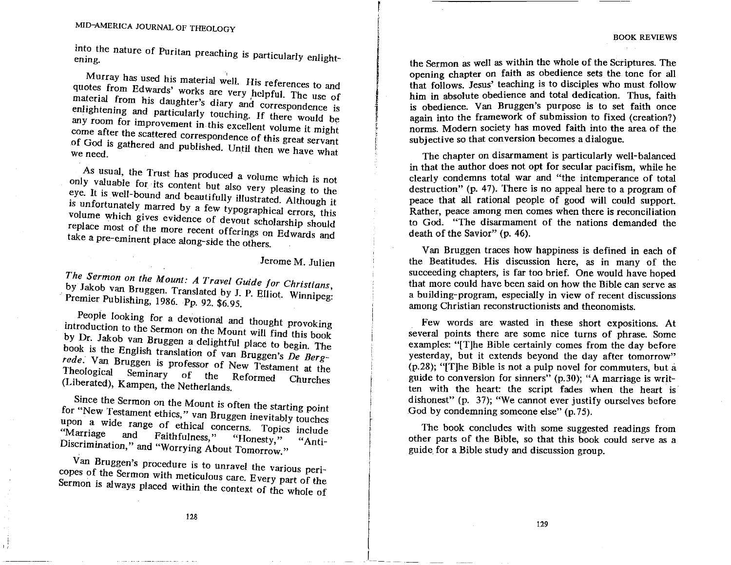**BOOK REVIEWS** 

the Sermon as well as within the whole of the Scriptures. The opening chapter on faith as obedience sets the tone for all that follows. Jesus' teaching is to disciples who must follow him in absolute obedience and total dedication. Thus, faith is obedience. Van Bruggen's purpose is to set faith once again into the framework of submission to fixed (creation?) norms. Modern society has moved faith into the area of the subjective so that conversion becomes a dialogue.

The chapter on disarmament is particularly well-balanced in that the author does not opt for secular pacifism, while he clearly condemns total war and "the intemperance of total destruction" (p. 47). There is no appeal here to a program of peace that all rational people of good will could support. Rather, peace among men comes when there is reconciliation to God. "The disarmament of the nations demanded the death of the Savior" (p. 46).

Van Bruggen traces how happiness is defined in each of the Beatitudes. His discussion here, as in many of the succeeding chapters, is far too brief. One would have hoped that more could have been said on how the Bible can serve as a building-program, especially in view of recent discussions among Christian reconstructionists and theonomists.

Few words are wasted in these short expositions. At several points there are some nice turns of phrase. Some examples: "[T]he Bible certainly comes from the day before vesterday, but it extends beyond the day after tomorrow" (p.28); "[T]he Bible is not a pulp novel for commuters, but a guide to conversion for sinners" (p.30); "A marriage is written with the heart: the script fades when the heart is dishonest" (p. 37); "We cannot ever justify ourselves before God by condemning someone else" (p.75).

The book concludes with some suggested readings from other parts of the Bible, so that this book could serve as a guide for a Bible study and discussion group.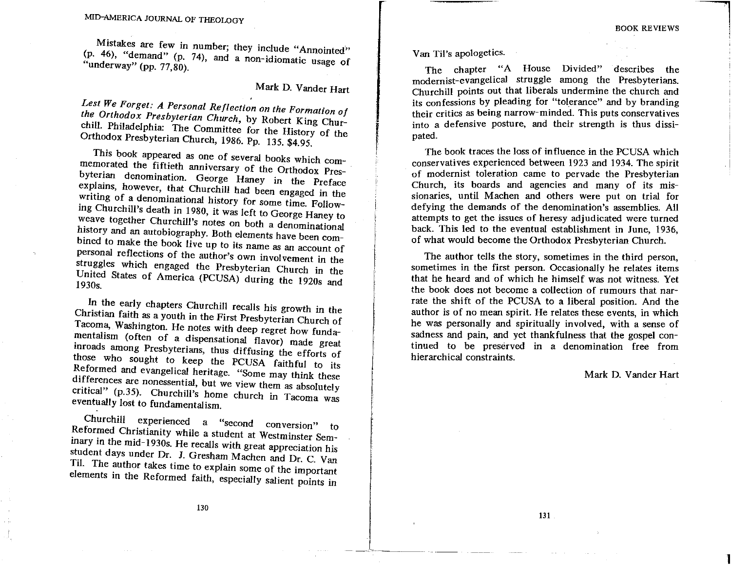Mistakes are few in number; they include "Annointed" (p. 46), "demand" (p. 74), and a non-idiomatic usage of "underway" (pp. 77,80).

## Mark D. Vander Hart

Lest We Forget: A Personal Reflection on the Formation of the Orthodox Presbyterian Church, by Robert King Churchill. Philadelphia: The Committee for the History of the Orthodox Presbyterian Church, 1986. Pp. 135. \$4.95.

This book appeared as one of several books which commemorated the fiftieth anniversary of the Orthodox Presbyterian denomination. George Haney in the Preface explains, however, that Churchill had been engaged in the writing of a denominational history for some time. Following Churchill's death in 1980, it was left to George Haney to weave together Churchill's notes on both a denominational history and an autobiography. Both elements have been combined to make the book live up to its name as an account of personal reflections of the author's own involvement in the struggles which engaged the Presbyterian Church in the United States of America (PCUSA) during the 1920s and  $1930s$ 

In the early chapters Churchill recalls his growth in the Christian faith as a youth in the First Presbyterian Church of Tacoma, Washington. He notes with deep regret how fundamentalism (often of a dispensational flavor) made great inroads among Presbyterians, thus diffusing the efforts of those who sought to keep the PCUSA faithful to its Reformed and evangelical heritage. "Some may think these differences are nonessential, but we view them as absolutely critical" (p.35). Churchill's home church in Tacoma was eventually lost to fundamentalism.

Churchill experienced "second  $\mathbf{a}$ conversion" Reformed Christianity while a student at Westminster Semtο inary in the mid-1930s. He recalls with great appreciation his student days under Dr. J. Gresham Machen and Dr. C. Van Til. The author takes time to explain some of the important elements in the Reformed faith, especially salient points in

130